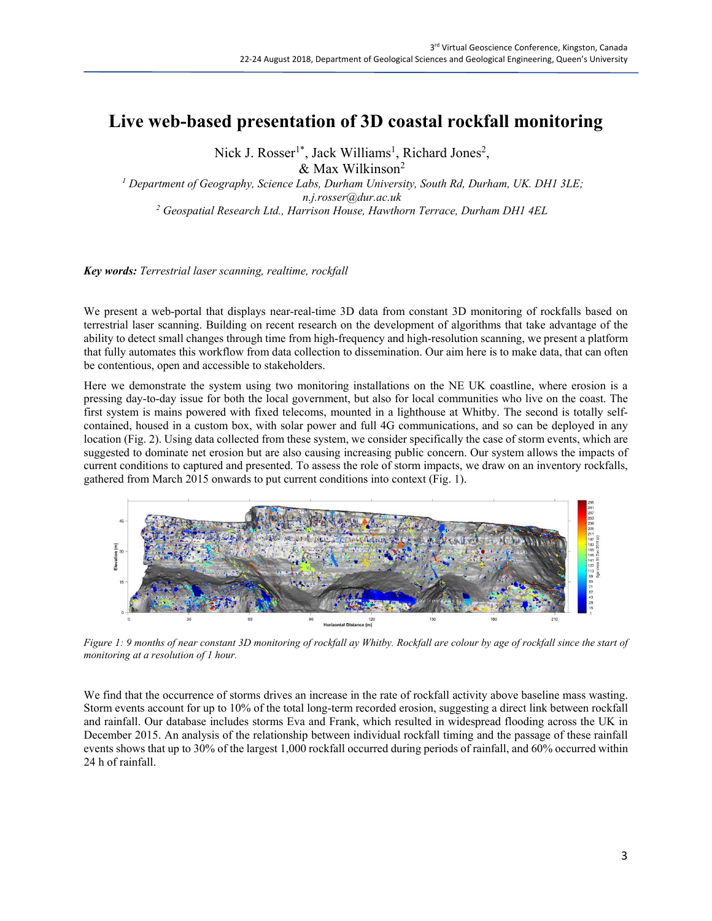## **Live web-based presentation of 3D coastal rockfall monitoring**

Nick J. Rosser<sup>1\*</sup>, Jack Williams<sup>1</sup>, Richard Jones<sup>2</sup>,

& Max Wilkinson<sup>2</sup>

*<sup>1</sup> Department of Geography, Science Labs, Durham University, South Rd, Durham, UK. DH1 3LE; n.j.rosser@dur.ac.uk <sup>2</sup> Geospatial Research Ltd., Harrison House, Hawthorn Terrace, Durham DH1 4EL*

*Key words: Terrestrial laser scanning, realtime, rockfall*

We present a web-portal that displays near-real-time 3D data from constant 3D monitoring of rockfalls based on terrestrial laser scanning. Building on recent research on the development of algorithms that take advantage of the ability to detect small changes through time from high-frequency and high-resolution scanning, we present a platform that fully automates this workflow from data collection to dissemination. Our aim here is to make data, that can often be contentious, open and accessible to stakeholders.

Here we demonstrate the system using two monitoring installations on the NE UK coastline, where erosion is a pressing day-to-day issue for both the local government, but also for local communities who live on the coast. The first system is mains powered with fixed telecoms, mounted in a lighthouse at Whitby. The second is totally selfcontained, housed in a custom box, with solar power and full 4G communications, and so can be deployed in any location (Fig. 2). Using data collected from these system, we consider specifically the case of storm events, which are suggested to dominate net erosion but are also causing increasing public concern. Our system allows the impacts of current conditions to captured and presented. To assess the role of storm impacts, we draw on an inventory rockfalls, gathered from March 2015 onwards to put current conditions into context (Fig. 1).



Figure 1: 9 months of near constant 3D monitoring of rockfall ay Whitby. Rockfall are colour by age of rockfall since the start of *monitoring at a resolution of 1 hour.*

We find that the occurrence of storms drives an increase in the rate of rockfall activity above baseline mass wasting. Storm events account for up to 10% of the total long-term recorded erosion, suggesting a direct link between rockfall and rainfall. Our database includes storms Eva and Frank, which resulted in widespread flooding across the UK in December 2015. An analysis of the relationship between individual rockfall timing and the passage of these rainfall events shows that up to 30% of the largest 1,000 rockfall occurred during periods of rainfall, and 60% occurred within 24 h of rainfall.